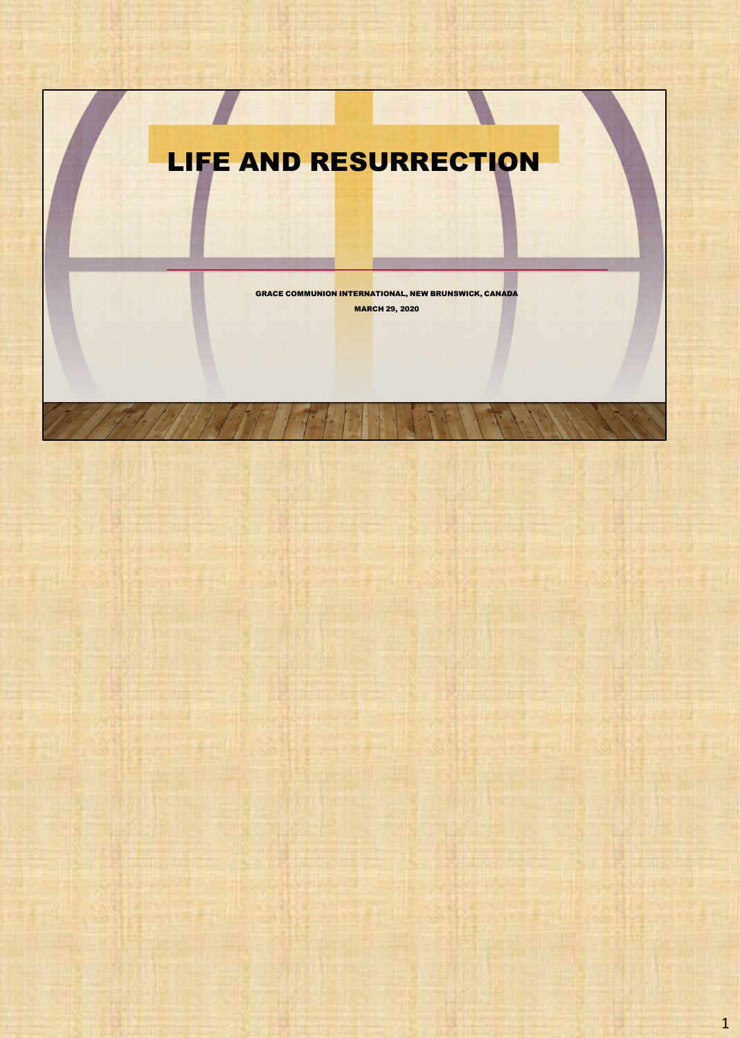# LIFE AND RESURRECTION

GRACE COMMUNION INTERNATIONAL, NEW BRUNSWICK, CANADA MARCH 29, 2020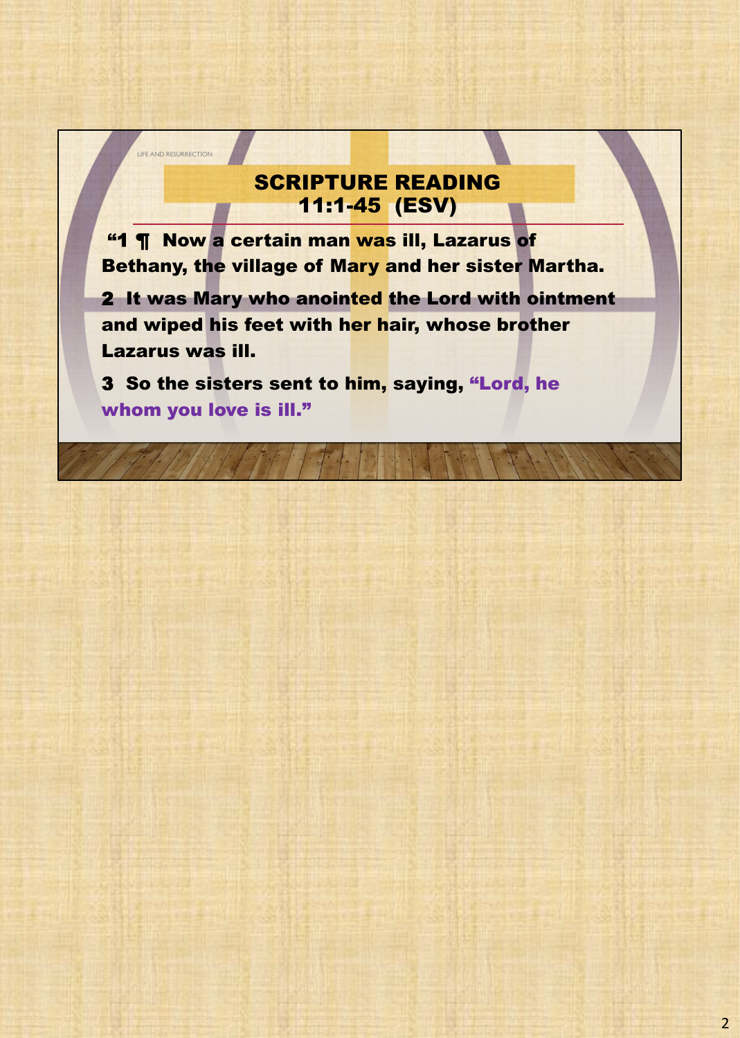## SCRIPTURE READING 11:1-45 (ESV)

"1 ¶ Now a certain man was ill, Lazarus of Bethany, the village of Mary and her sister Martha.

LIFE AND RESURRECTION

2 It was Mary who anointed the Lord with ointment and wiped his feet with her hair, whose brother Lazarus was ill.

3 So the sisters sent to him, saying, "Lord, he whom you love is ill."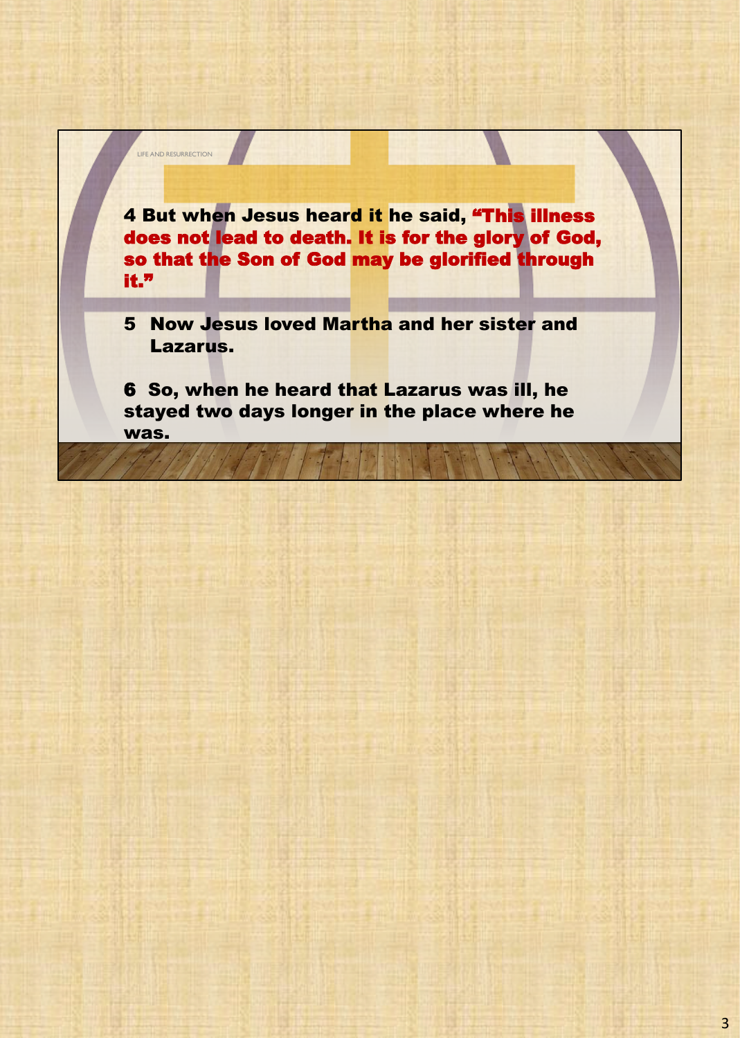4 But when Jesus heard it he said, "This illness does not lead to death. It is for the glory of God, so that the Son of God may be glorified through it."

LIFE AND RESURRECTION

5 Now Jesus loved Martha and her sister and Lazarus.

6 So, when he heard that Lazarus was ill, he stayed two days longer in the place where he was.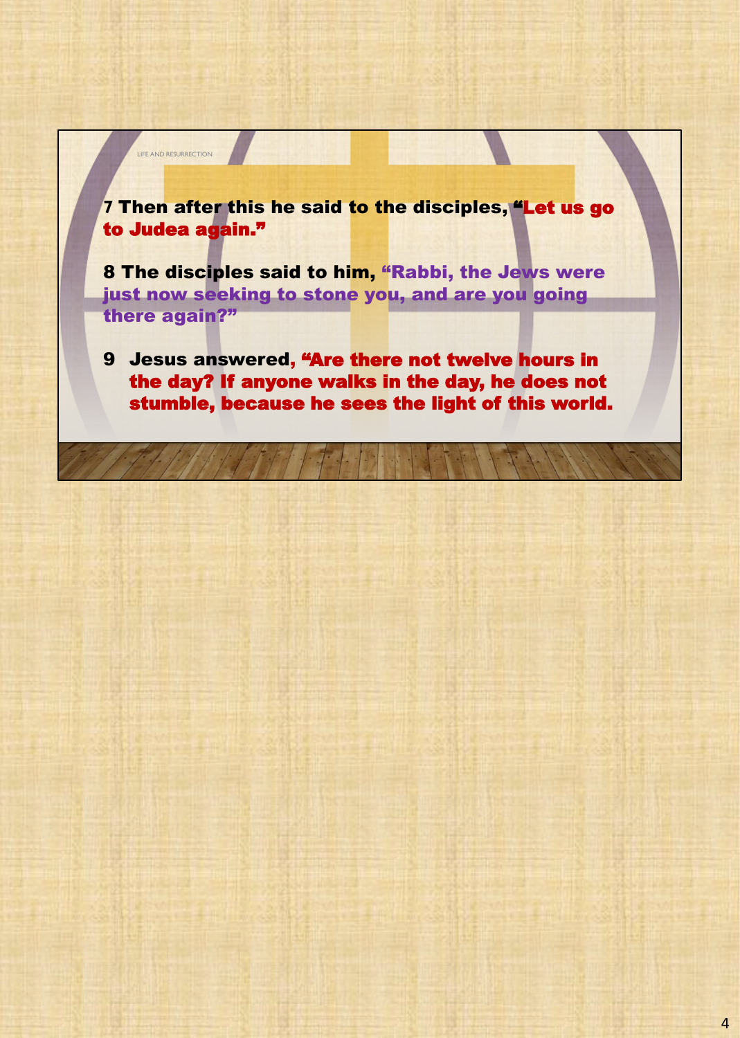**7** Then after this he said to the disciples, "Let us go to Judea again."

LIFE AND RESURRECTION

8 The disciples said to him, "Rabbi, the Jews were just now seeking to stone you, and are you going there again?"

9 Jesus answered, "Are there not twelve hours in the day? If anyone walks in the day, he does not stumble, because he sees the light of this world.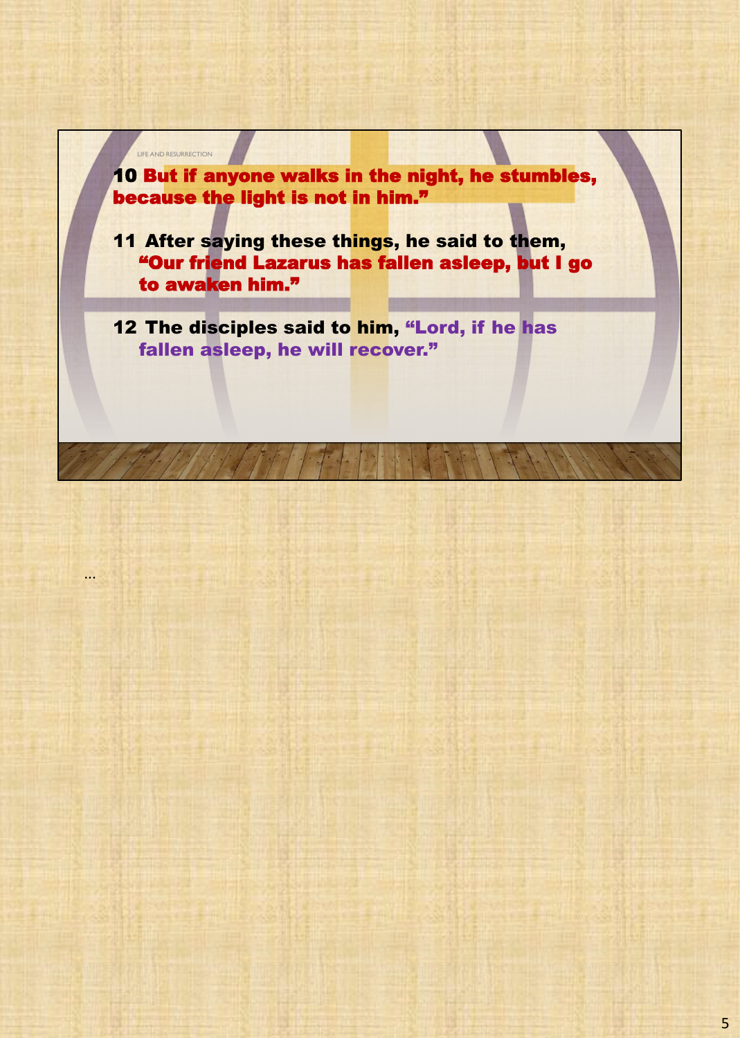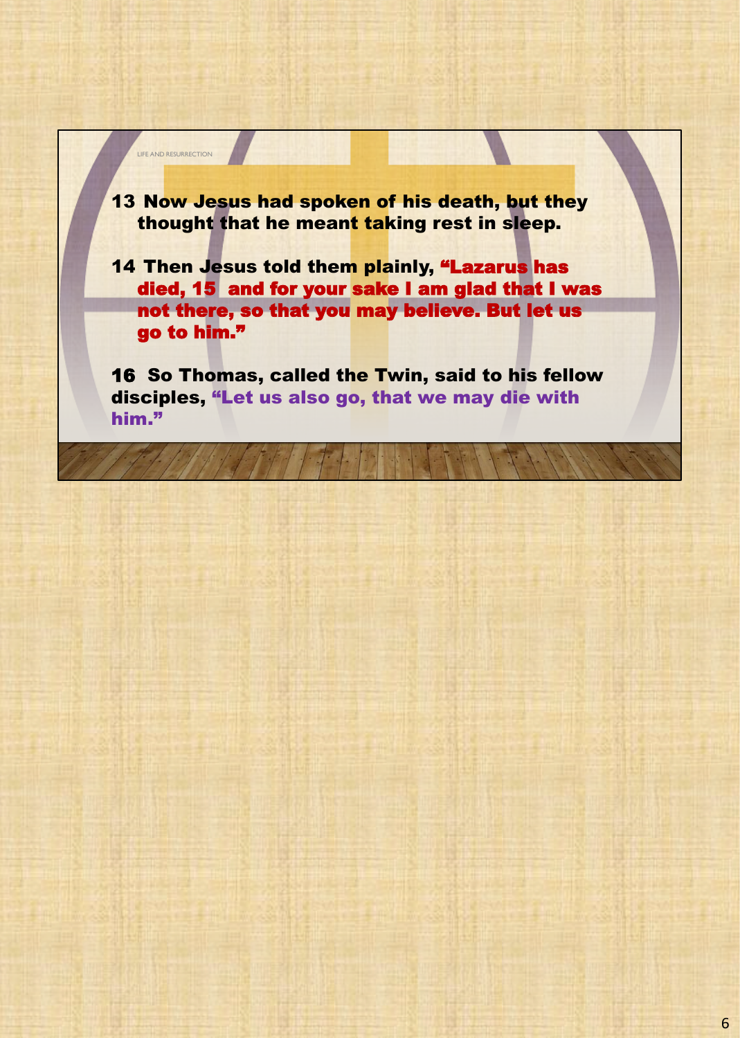13 Now Jesus had spoken of his death, but they thought that he meant taking rest in sleep.

LIFE AND RESURRECTION

14 Then Jesus told them plainly, "Lazarus has died, 15 and for your sake I am glad that I was not there, so that you may believe. But let us go to him."

16 So Thomas, called the Twin, said to his fellow disciples, "Let us also go, that we may die with him."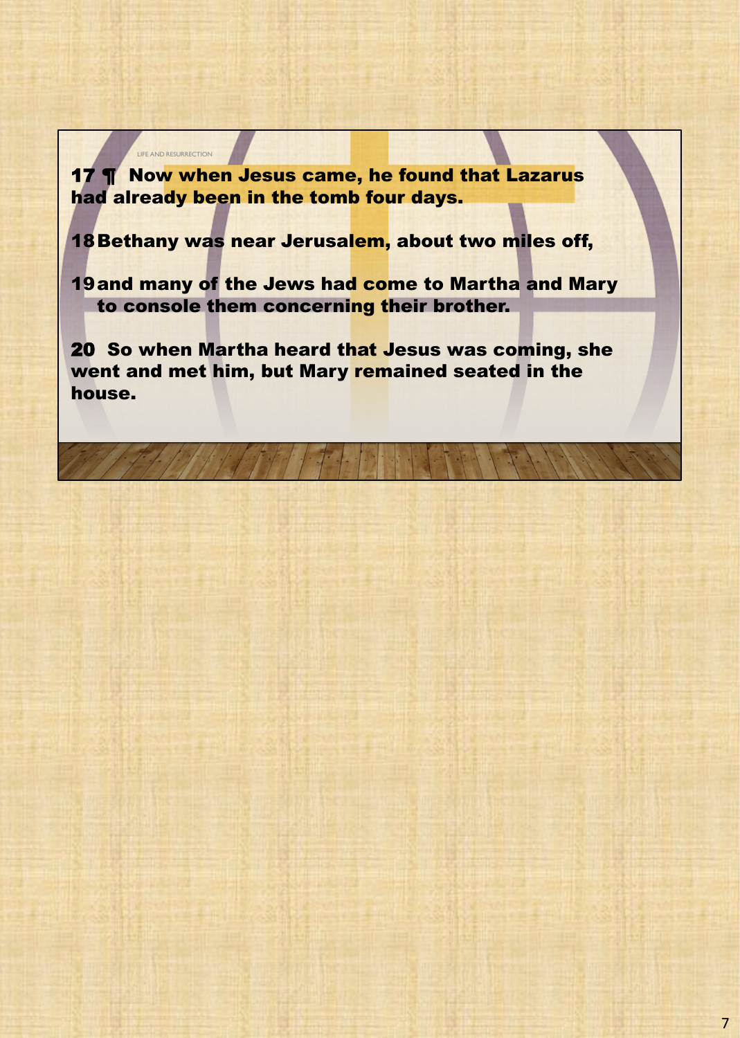17 ¶ Now when Jesus came, he found that Lazarus had already been in the tomb four days.

LIFE AND RESURRECTION

18Bethany was near Jerusalem, about two miles off,

19and many of the Jews had come to Martha and Mary to console them concerning their brother.

20 So when Martha heard that Jesus was coming, she went and met him, but Mary remained seated in the house.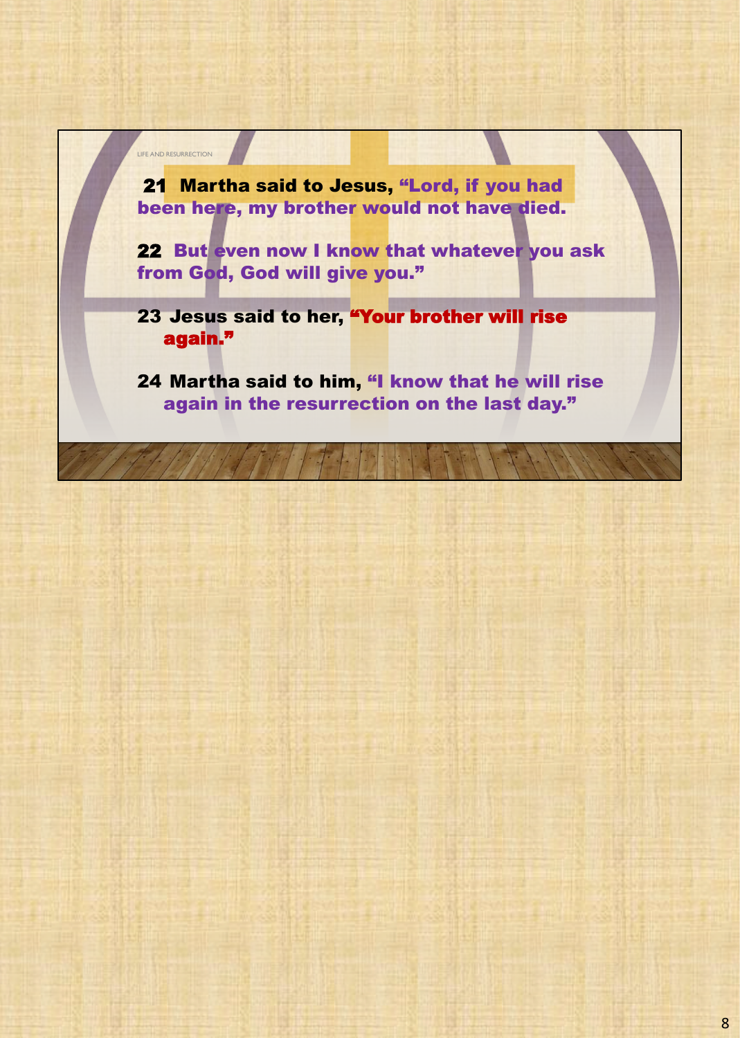21 Martha said to Jesus, "Lord, if you had been here, my brother would not have died.

LIFE AND RESURRECTION

22 But even now I know that whatever you ask from God, God will give you."

23 Jesus said to her, "Your brother will rise again."

24 Martha said to him, "I know that he will rise again in the resurrection on the last day."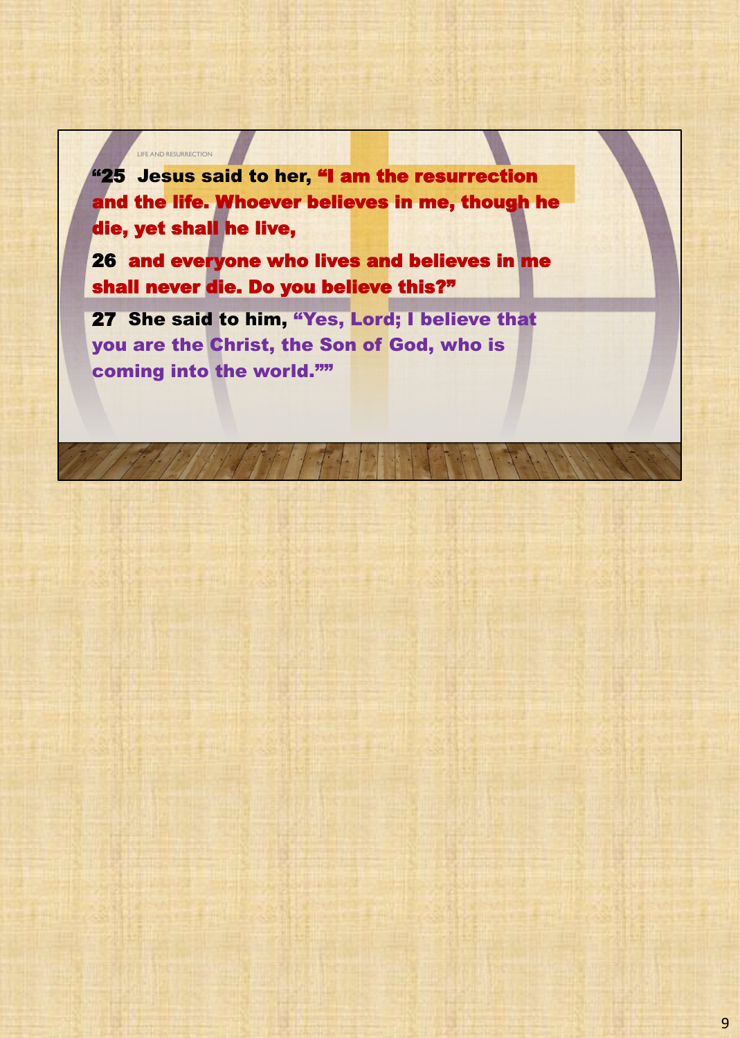"25 Jesus said to her, "I am the resurrection and the life. Whoever believes in me, though he die, yet shall he live,

LIFE AND RESURRECTION

26 and everyone who lives and believes in me shall never die. Do you believe this?"

27 She said to him, "Yes, Lord; I believe that you are the Christ, the Son of God, who is coming into the world.""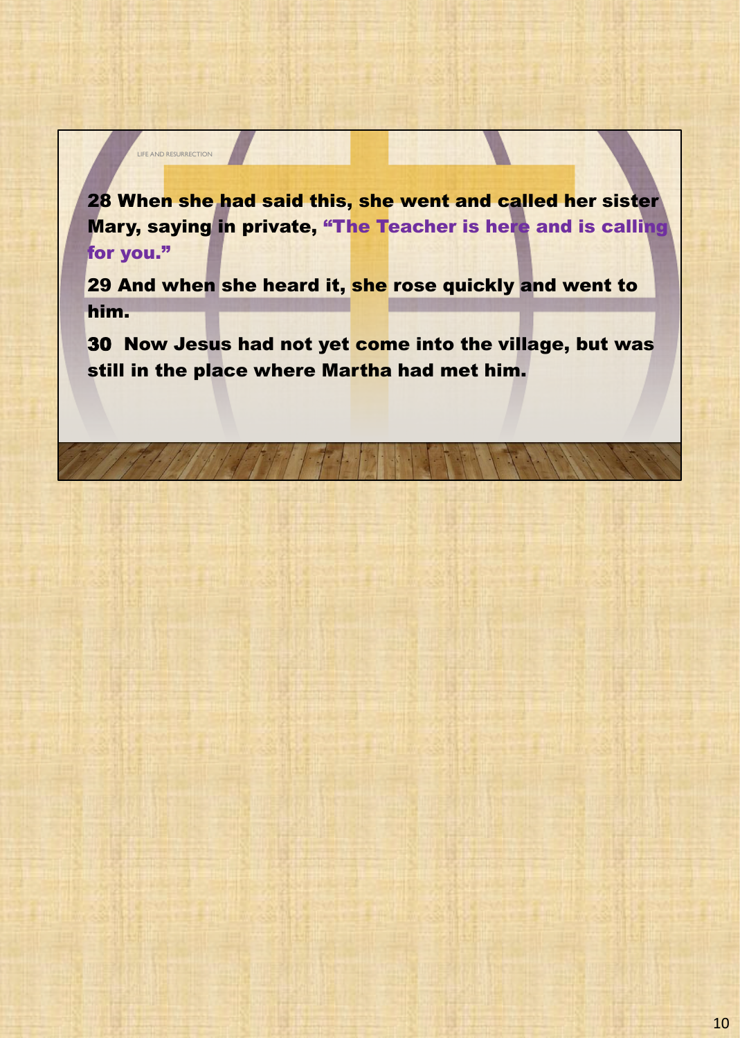28 When she had said this, she went and called her sister Mary, saying in private, "The Teacher is here and is calling for you."

LIFE AND RESURRECTION

29 And when she heard it, she rose quickly and went to him.

30 Now Jesus had not yet come into the village, but was still in the place where Martha had met him.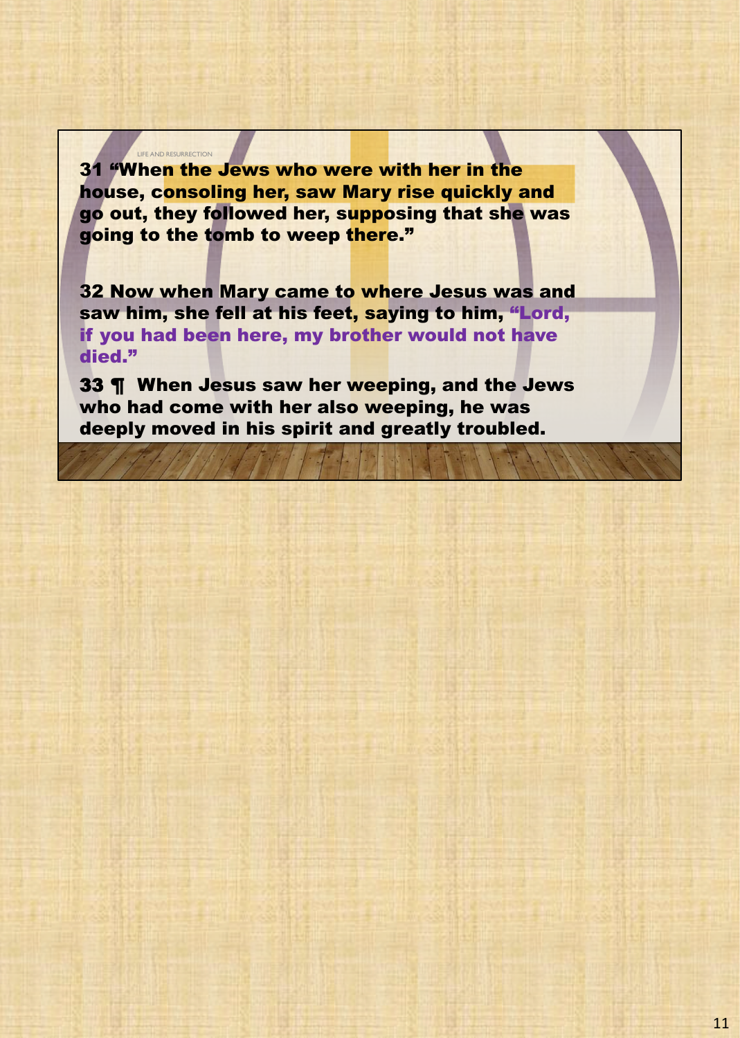31 "When the Jews who were with her in the house, consoling her, saw Mary rise quickly and go out, they followed her, supposing that she was going to the tomb to weep there." LIFE AND RESURRECTION

32 Now when Mary came to where Jesus was and saw him, she fell at his feet, saying to him, "Lord, if you had been here, my brother would not have died."

33 ¶ When Jesus saw her weeping, and the Jews who had come with her also weeping, he was deeply moved in his spirit and greatly troubled.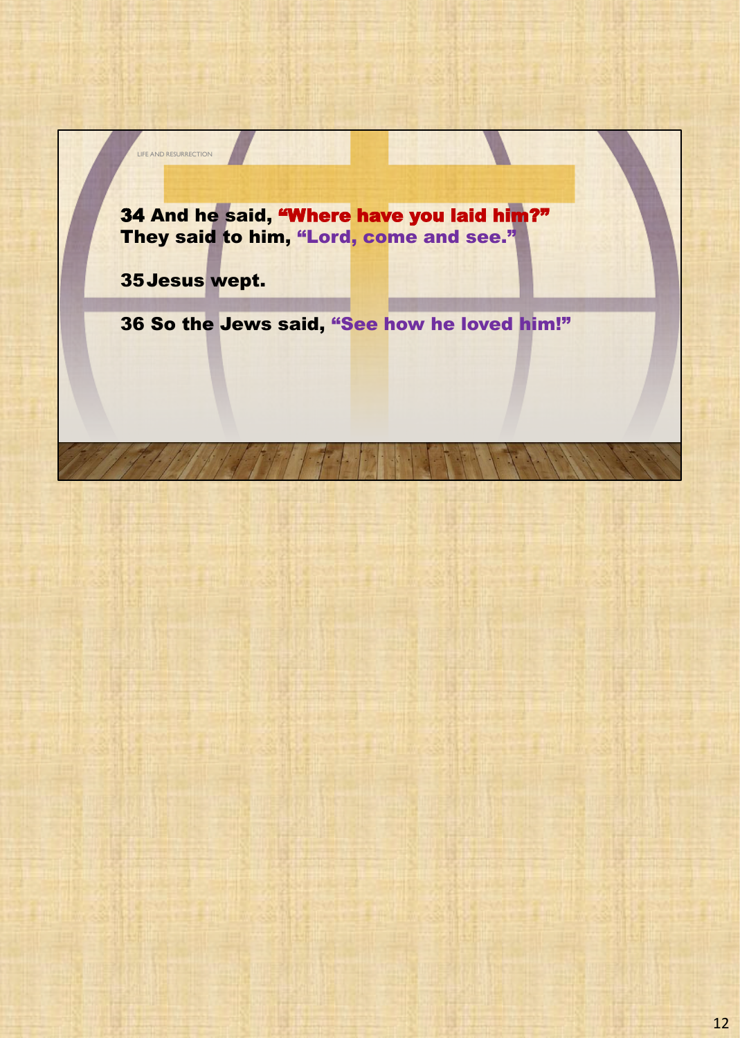

35Jesus wept.

LIFE AND RESURRECTION

36 So the Jews said, "See how he loved him!"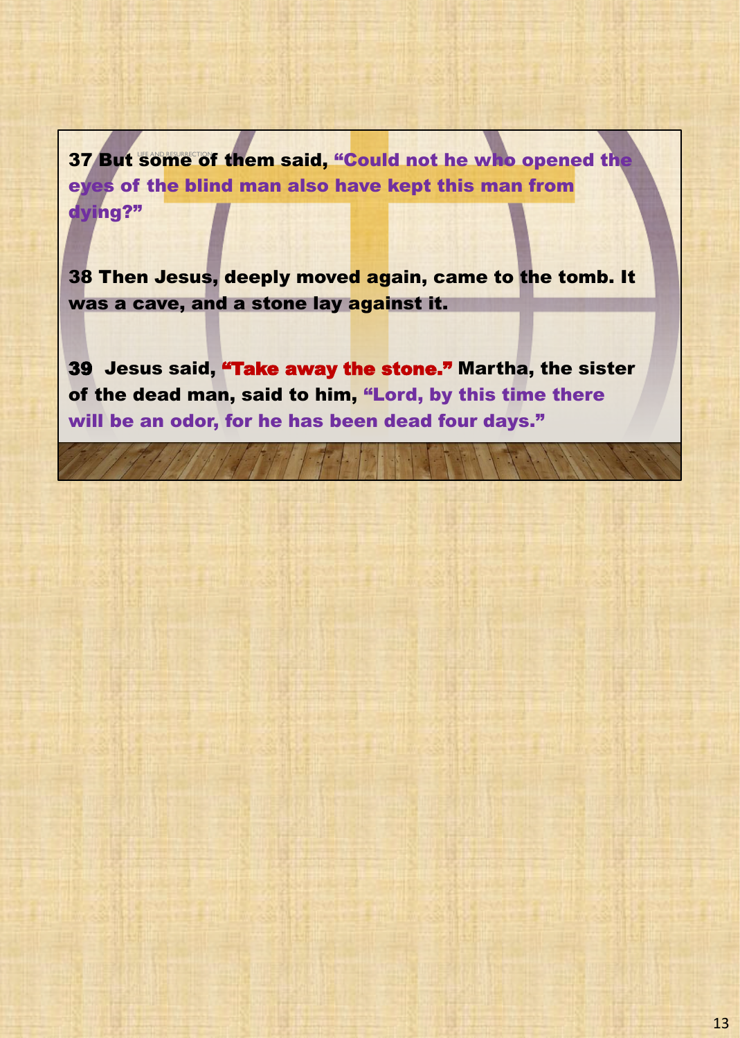37 But some of them said, "Could not he who opened the eyes of the blind man also have kept this man from dying?"

38 Then Jesus, deeply moved again, came to the tomb. It was a cave, and a stone lay against it.

39 Jesus said, "Take away the stone." Martha, the sister of the dead man, said to him, "Lord, by this time there will be an odor, for he has been dead four days."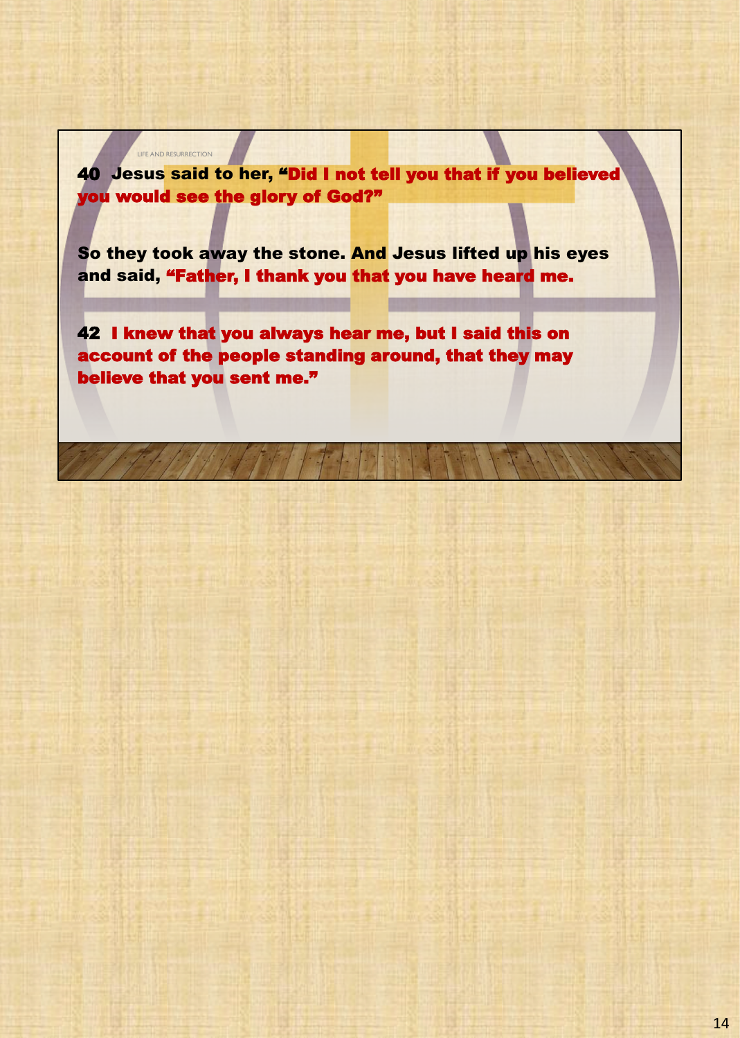40 Jesus said to her, "Did I not tell you that if you believed you would see the glory of God?"

LIFE AND RESURRECTION

So they took away the stone. And Jesus lifted up his eyes and said, "Father, I thank you that you have heard me.

42 I knew that you always hear me, but I said this on account of the people standing around, that they may believe that you sent me."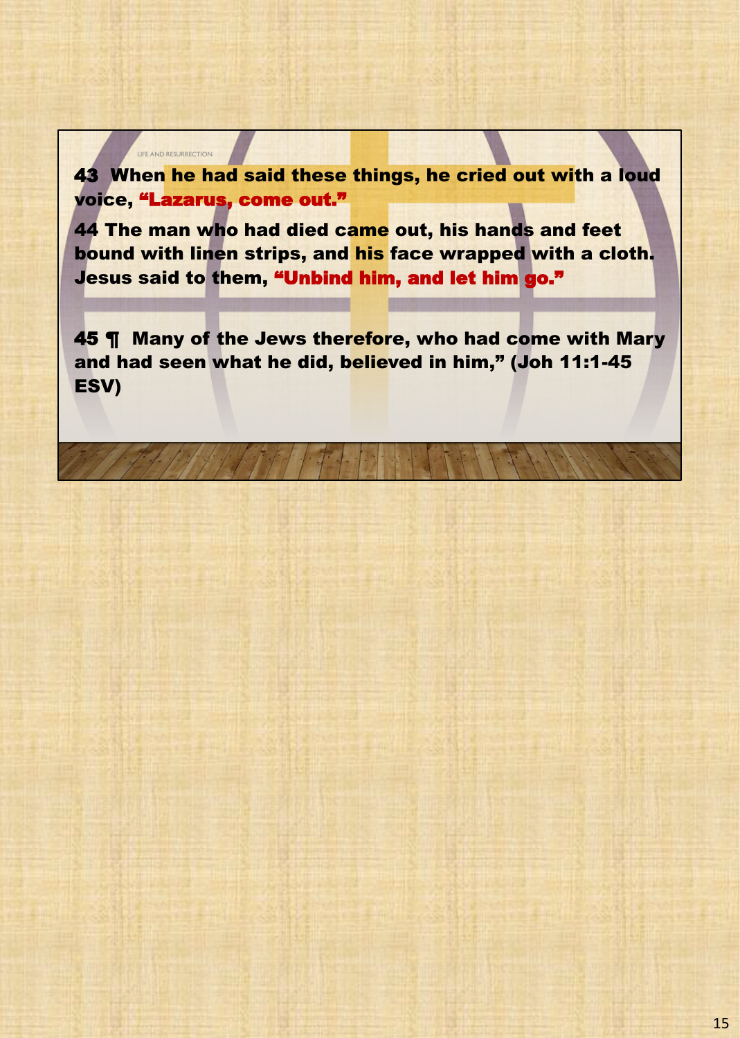43 When he had said these things, he cried out with a loud voice, "Lazarus, come out."

LIFE AND RESURRECTION

44 The man who had died came out, his hands and feet bound with linen strips, and his face wrapped with a cloth. Jesus said to them, "Unbind him, and let him go."

45 ¶ Many of the Jews therefore, who had come with Mary and had seen what he did, believed in him," (Joh 11:1-45 ESV)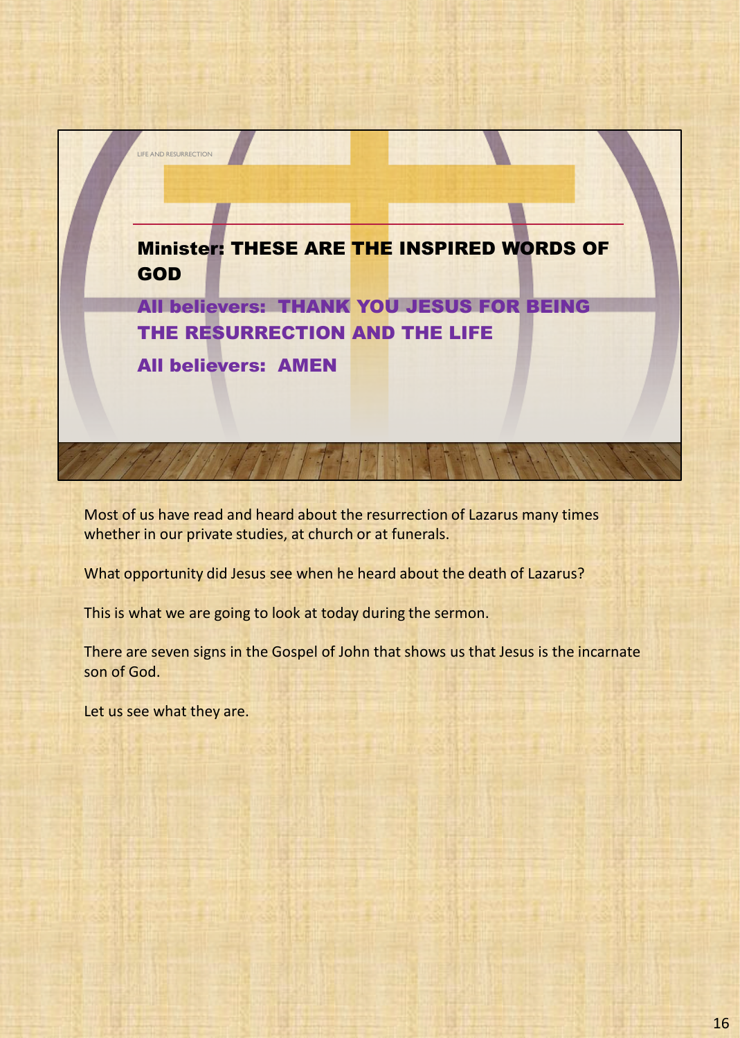

Most of us have read and heard about the resurrection of Lazarus many times whether in our private studies, at church or at funerals.

What opportunity did Jesus see when he heard about the death of Lazarus?

This is what we are going to look at today during the sermon.

There are seven signs in the Gospel of John that shows us that Jesus is the incarnate son of God.

Let us see what they are.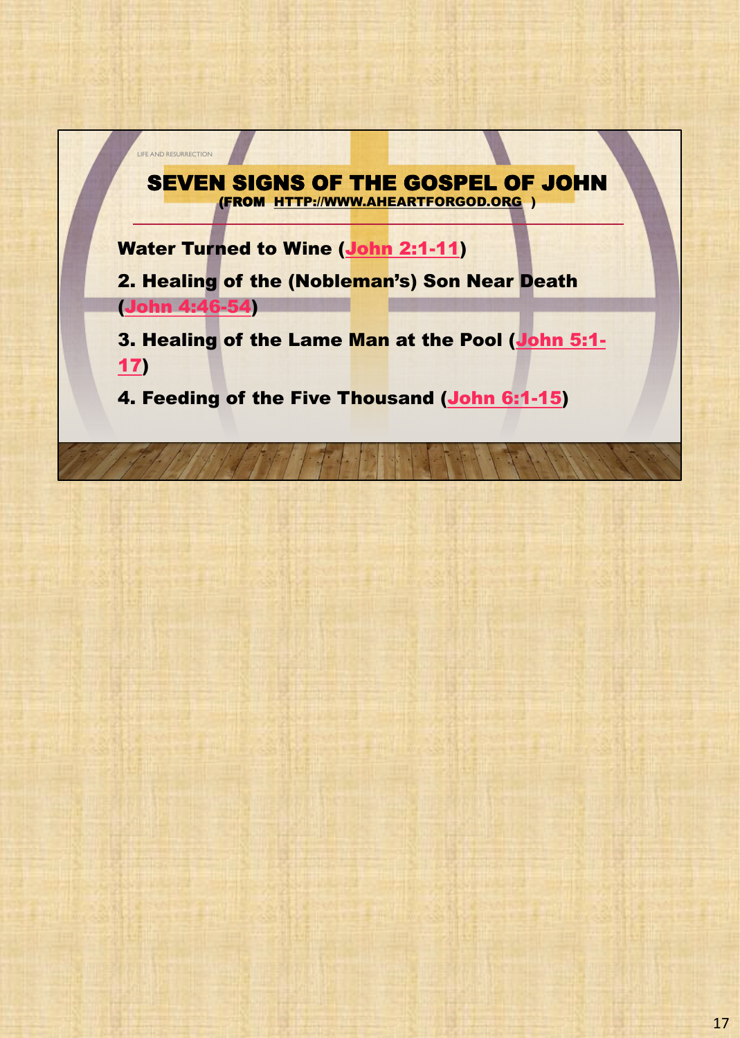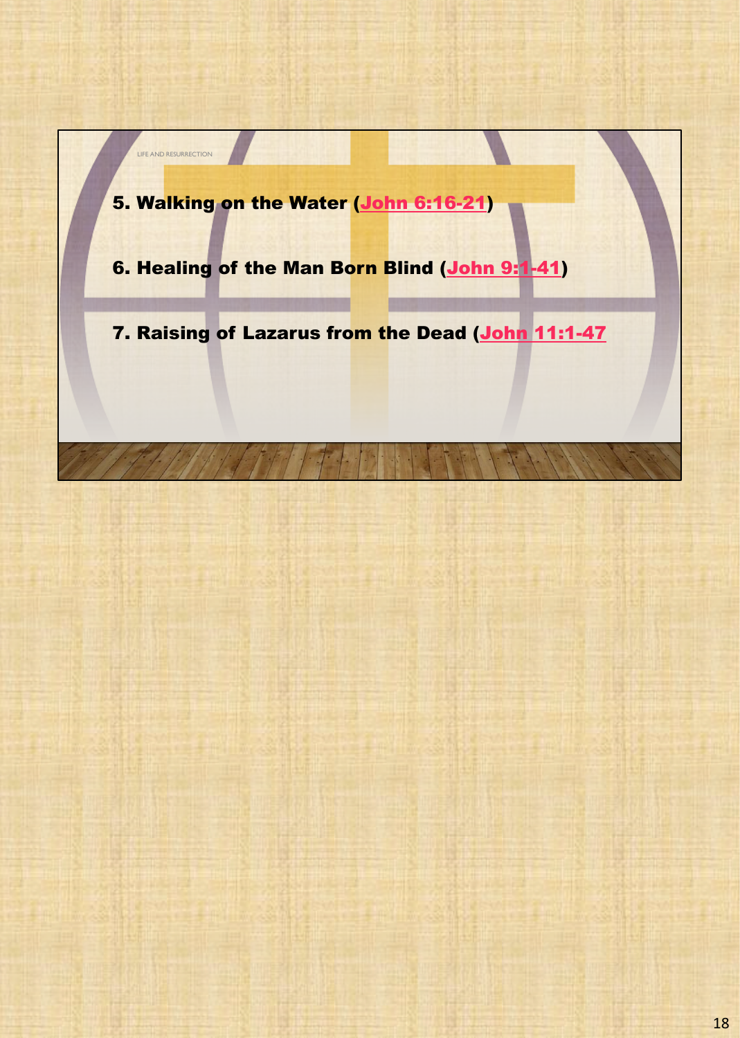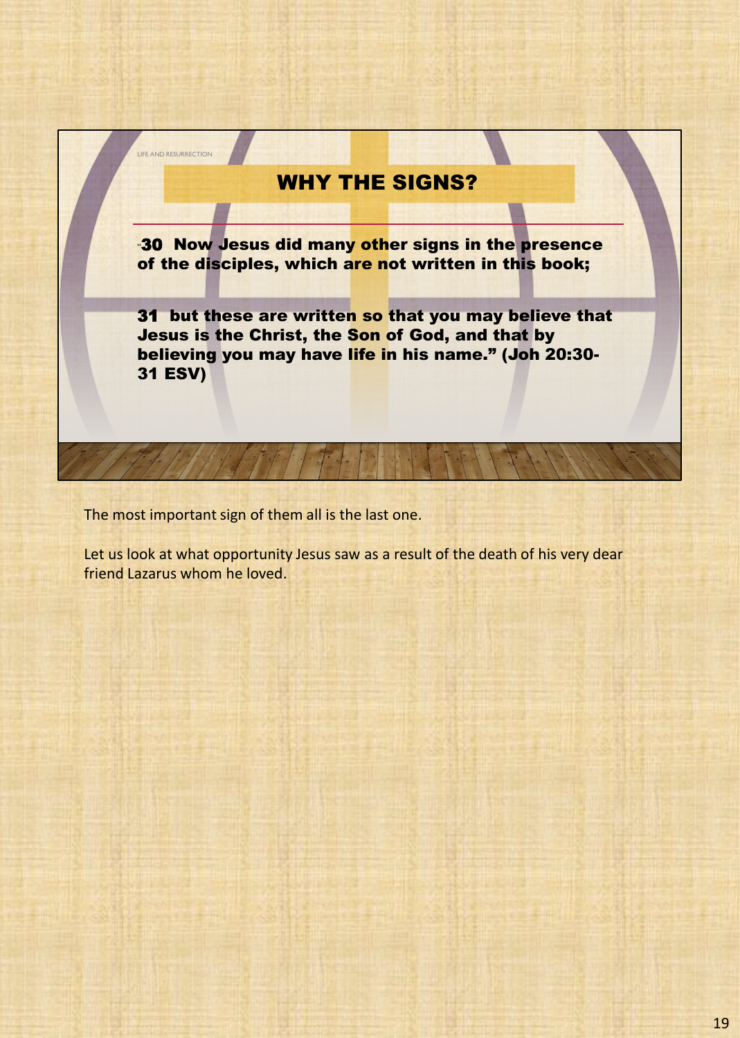# WHY THE SIGNS?

"30 Now Jesus did many other signs in the presence of the disciples, which are not written in this book;

31 but these are written so that you may believe that Jesus is the Christ, the Son of God, and that by believing you may have life in his name." (Joh 20:30- 31 ESV)

The most important sign of them all is the last one.

LIFE AND RESURRECTION

Let us look at what opportunity Jesus saw as a result of the death of his very dear friend Lazarus whom he loved.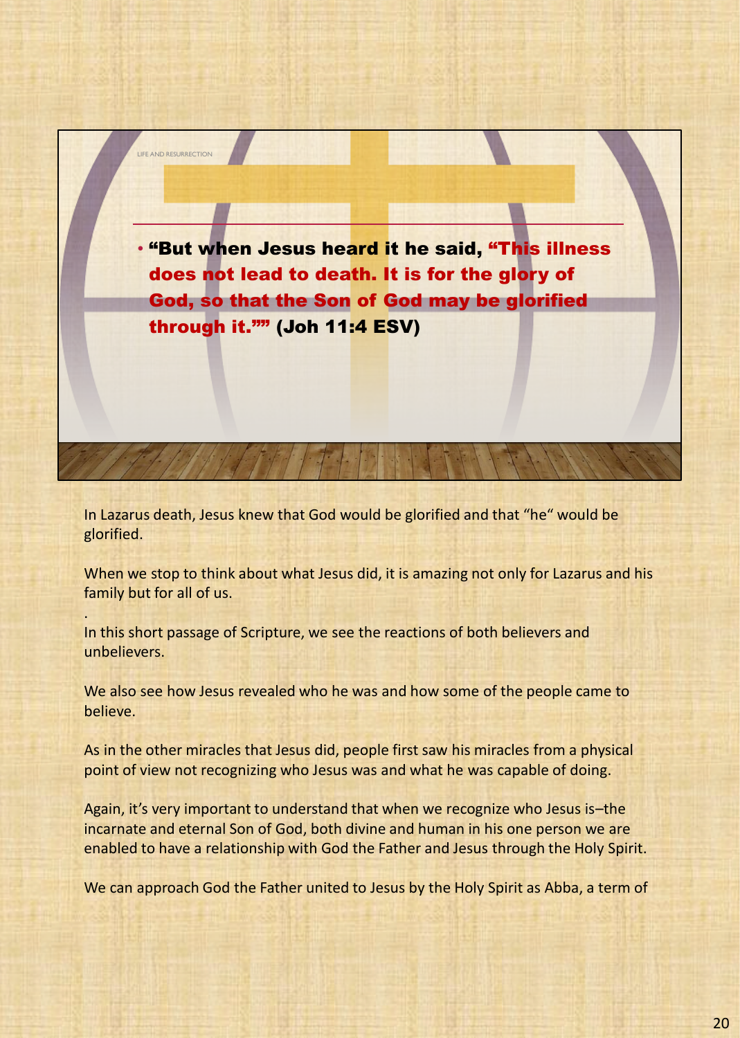

In Lazarus death, Jesus knew that God would be glorified and that "he" would be glorified.

When we stop to think about what Jesus did, it is amazing not only for Lazarus and his family but for all of us.

In this short passage of Scripture, we see the reactions of both believers and unbelievers.

.

We also see how Jesus revealed who he was and how some of the people came to believe.

As in the other miracles that Jesus did, people first saw his miracles from a physical point of view not recognizing who Jesus was and what he was capable of doing.

Again, it's very important to understand that when we recognize who Jesus is–the incarnate and eternal Son of God, both divine and human in his one person we are enabled to have a relationship with God the Father and Jesus through the Holy Spirit.

We can approach God the Father united to Jesus by the Holy Spirit as Abba, a term of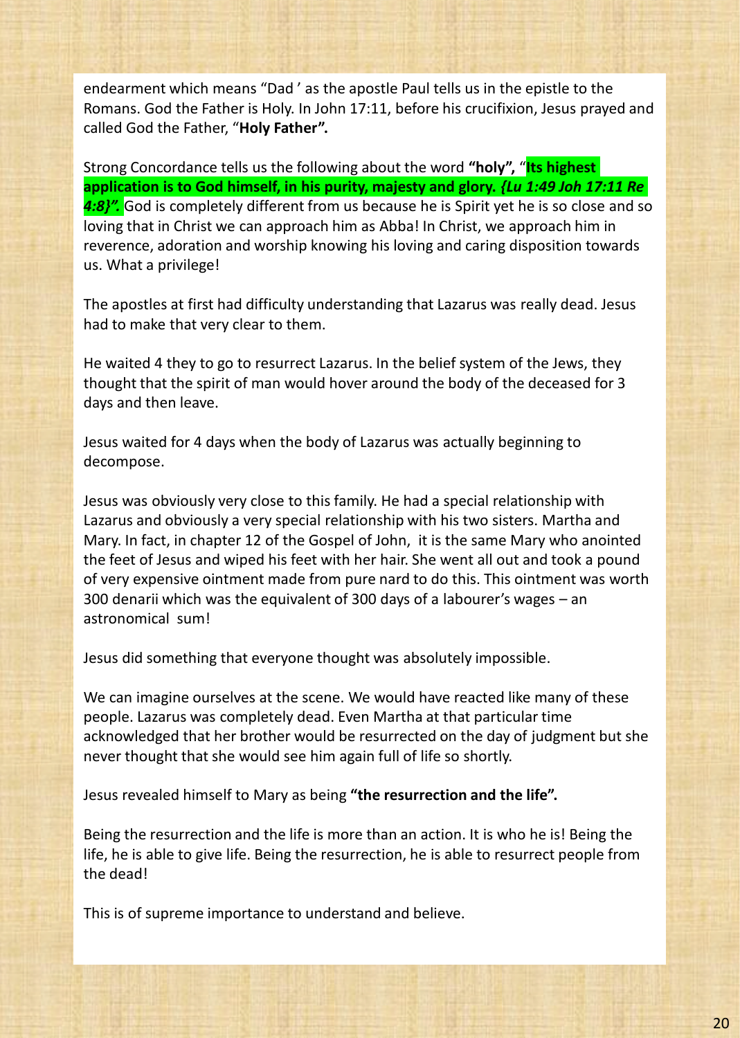endearment which means "Dad ' as the apostle Paul tells us in the epistle to the Romans. God the Father is Holy. In John 17:11, before his crucifixion, Jesus prayed and called God the Father, "**Holy Father".** 

Strong Concordance tells us the following about the word **"holy",** "**Its highest application is to God himself, in his purity, majesty and glory.** *{Lu 1:49 Joh 17:11 Re*  4:8}". God is completely different from us because he is Spirit yet he is so close and so loving that in Christ we can approach him as Abba! In Christ, we approach him in reverence, adoration and worship knowing his loving and caring disposition towards us. What a privilege!

The apostles at first had difficulty understanding that Lazarus was really dead. Jesus had to make that very clear to them.

He waited 4 they to go to resurrect Lazarus. In the belief system of the Jews, they thought that the spirit of man would hover around the body of the deceased for 3 days and then leave.

Jesus waited for 4 days when the body of Lazarus was actually beginning to decompose.

Jesus was obviously very close to this family. He had a special relationship with Lazarus and obviously a very special relationship with his two sisters. Martha and Mary. In fact, in chapter 12 of the Gospel of John, it is the same Mary who anointed the feet of Jesus and wiped his feet with her hair. She went all out and took a pound of very expensive ointment made from pure nard to do this. This ointment was worth 300 denarii which was the equivalent of 300 days of a labourer's wages – an astronomical sum!

Jesus did something that everyone thought was absolutely impossible.

We can imagine ourselves at the scene. We would have reacted like many of these people. Lazarus was completely dead. Even Martha at that particular time acknowledged that her brother would be resurrected on the day of judgment but she never thought that she would see him again full of life so shortly.

Jesus revealed himself to Mary as being **"the resurrection and the life".**

Being the resurrection and the life is more than an action. It is who he is! Being the life, he is able to give life. Being the resurrection, he is able to resurrect people from the dead!

This is of supreme importance to understand and believe.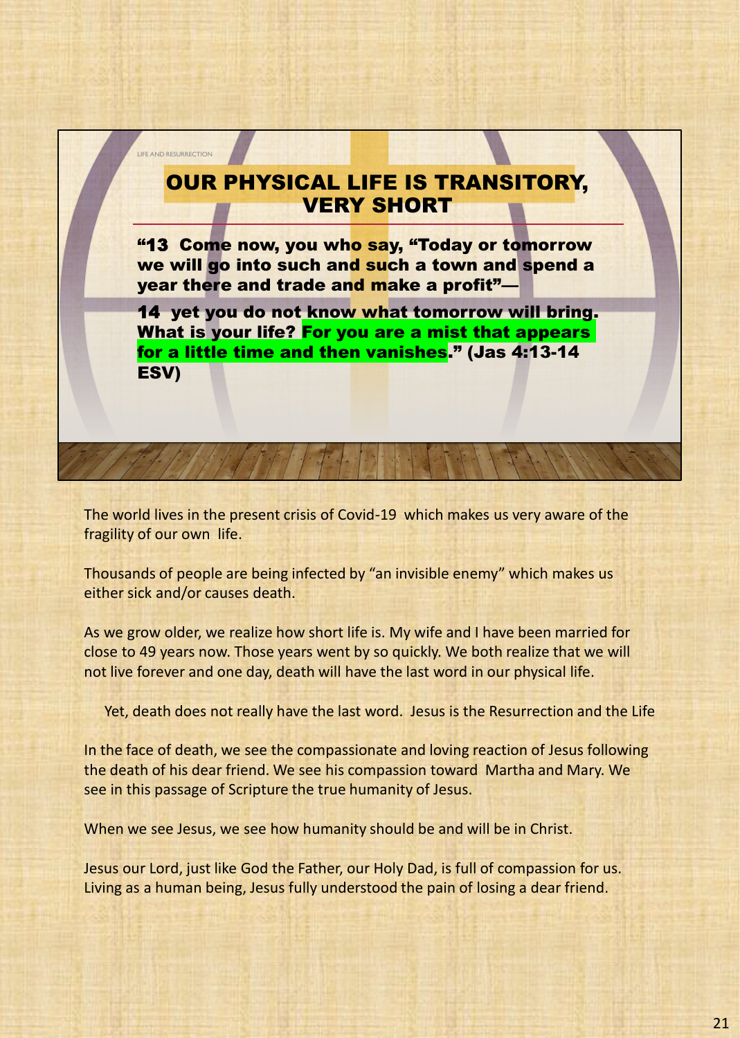# OUR PHYSICAL LIFE IS TRANSITORY, VERY SHORT

LIFE AND RESURRECTION

"13 Come now, you who say, "Today or tomorrow we will go into such and such a town and spend a year there and trade and make a profit"—

14 yet you do not know what tomorrow will bring. What is your life? For you are a mist that appears for a little time and then vanishes." (Jas 4:13-14 ESV)

The world lives in the present crisis of Covid-19 which makes us very aware of the fragility of our own life.

Thousands of people are being infected by "an invisible enemy" which makes us either sick and/or causes death.

As we grow older, we realize how short life is. My wife and I have been married for close to 49 years now. Those years went by so quickly. We both realize that we will not live forever and one day, death will have the last word in our physical life.

Yet, death does not really have the last word. Jesus is the Resurrection and the Life

In the face of death, we see the compassionate and loving reaction of Jesus following the death of his dear friend. We see his compassion toward Martha and Mary. We see in this passage of Scripture the true humanity of Jesus.

When we see Jesus, we see how humanity should be and will be in Christ.

Jesus our Lord, just like God the Father, our Holy Dad, is full of compassion for us. Living as a human being, Jesus fully understood the pain of losing a dear friend.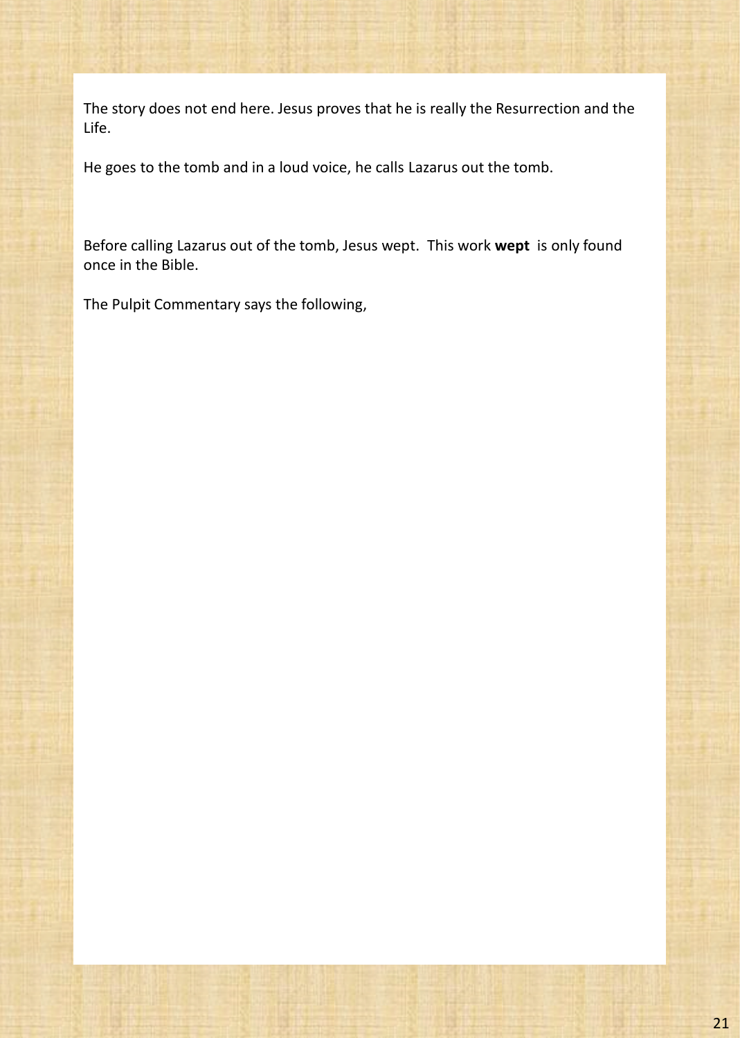The story does not end here. Jesus proves that he is really the Resurrection and the Life.

He goes to the tomb and in a loud voice, he calls Lazarus out the tomb.

Before calling Lazarus out of the tomb, Jesus wept. This work **wept** is only found once in the Bible.

The Pulpit Commentary says the following,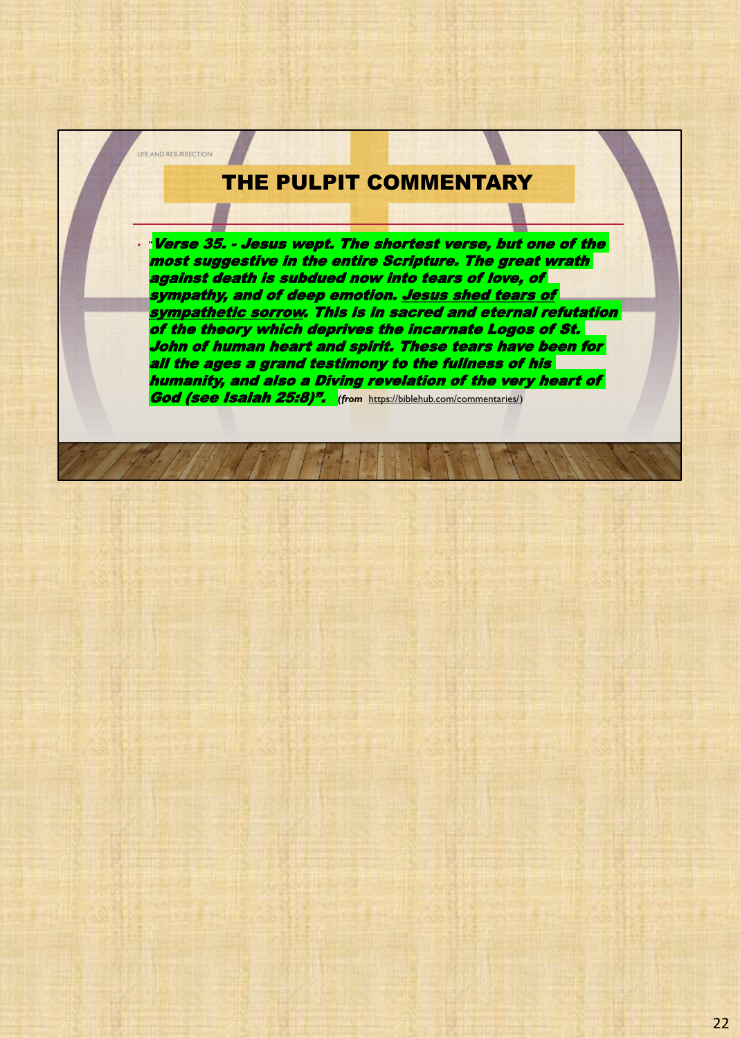### THE PULPIT COMMENTARY

LIFE AND RESURRECTION

• "Verse 35. - Jesus wept. The shortest verse, but one of the most suggestive in the entire Scripture. The great wrath against death is subdued now into tears of love, of sympathy, and of deep emotion. Jesus shed tears of sympathetic sorrow. This is in sacred and eternal refutation of the theory which deprives the incarnate Logos of St. John of human heart and spirit. These tears have been for all the ages a grand testimony to the fullness of his humanity, and also a Diving revelation of the very heart of God (see Isaiah 25:8)". *(from* https://biblehub.com/commentaries/)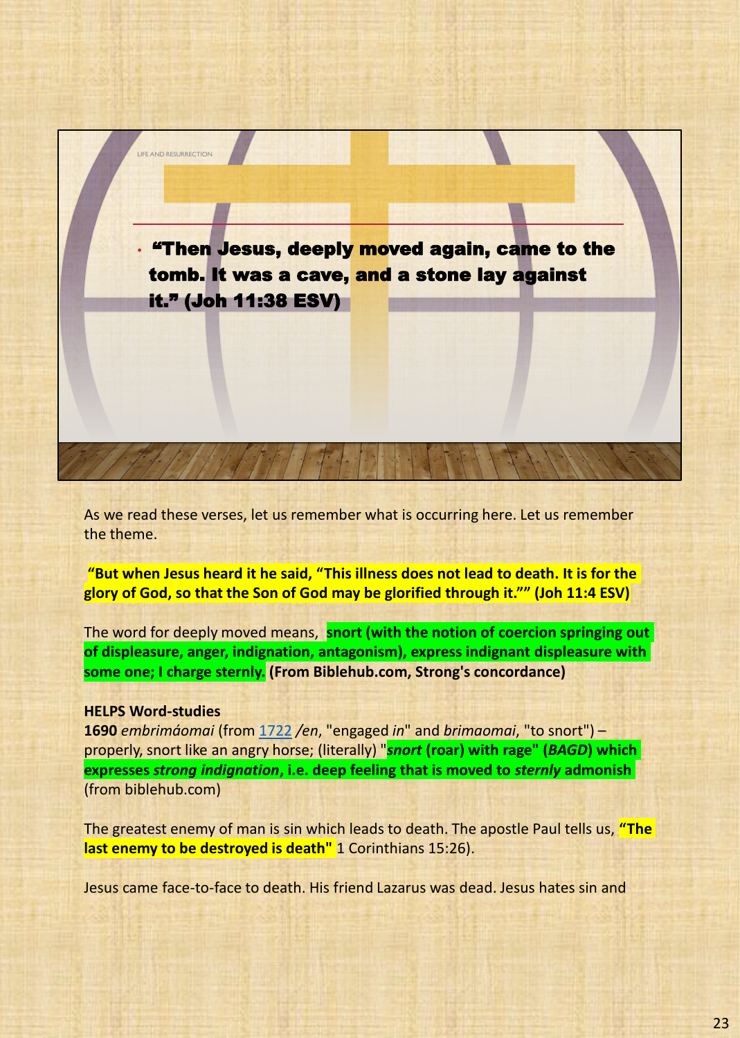

As we read these verses, let us remember what is occurring here. Let us remember the theme.

**"But when Jesus heard it he said, "This illness does not lead to death. It is for the glory of God, so that the Son of God may be glorified through it."" (Joh 11:4 ESV)**

The word for deeply moved means, **snort (with the notion of coercion springing out of displeasure, anger, indignation, antagonism), express indignant displeasure with some one; I charge sternly. (From Biblehub.com, Strong's concordance)**

#### **HELPS Word-studies**

**1690** *embrimáomai* (from 1722 */en*, "engaged *in*" and *brimaomai*, "to snort") – properly, snort like an angry horse; (literally) "*snort* **(roar) with rage" (***BAGD***) which expresses** *strong indignation***, i.e. deep feeling that is moved to** *sternly* **admonish**  (from biblehub.com)

The greatest enemy of man is sin which leads to death. The apostle Paul tells us, **"The last enemy to be destroyed is death"** 1 Corinthians 15:26).

Jesus came face-to-face to death. His friend Lazarus was dead. Jesus hates sin and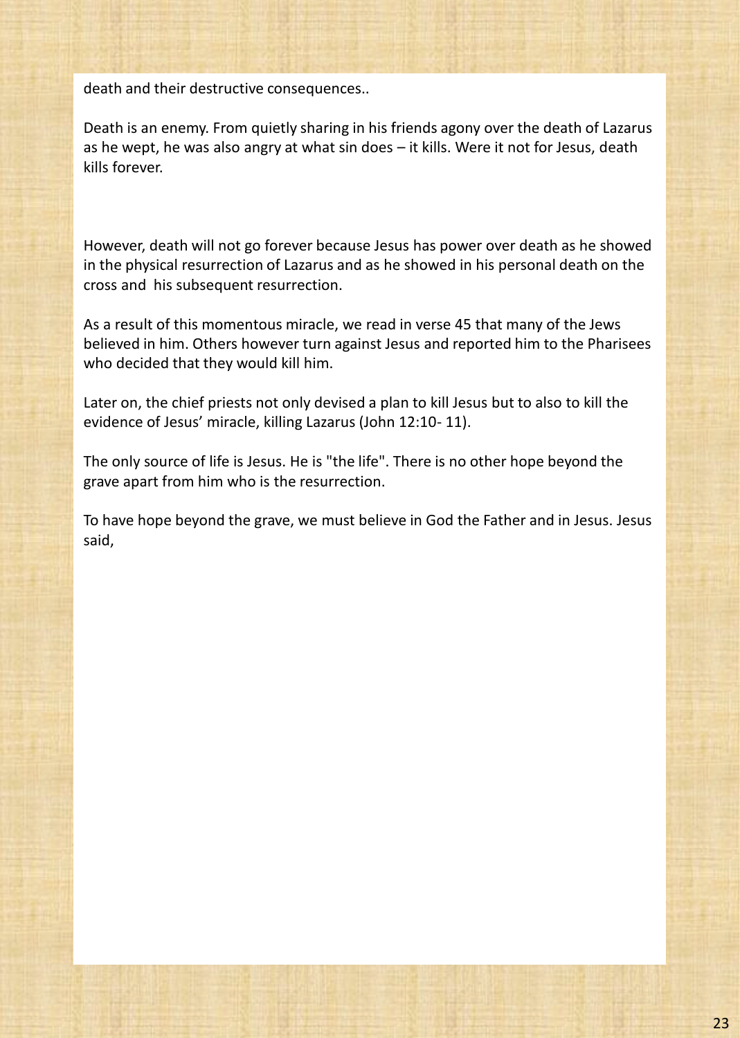death and their destructive consequences..

Death is an enemy. From quietly sharing in his friends agony over the death of Lazarus as he wept, he was also angry at what sin does – it kills. Were it not for Jesus, death kills forever.

However, death will not go forever because Jesus has power over death as he showed in the physical resurrection of Lazarus and as he showed in his personal death on the cross and his subsequent resurrection.

As a result of this momentous miracle, we read in verse 45 that many of the Jews believed in him. Others however turn against Jesus and reported him to the Pharisees who decided that they would kill him.

Later on, the chief priests not only devised a plan to kill Jesus but to also to kill the evidence of Jesus' miracle, killing Lazarus (John 12:10- 11).

The only source of life is Jesus. He is "the life". There is no other hope beyond the grave apart from him who is the resurrection.

To have hope beyond the grave, we must believe in God the Father and in Jesus. Jesus said,